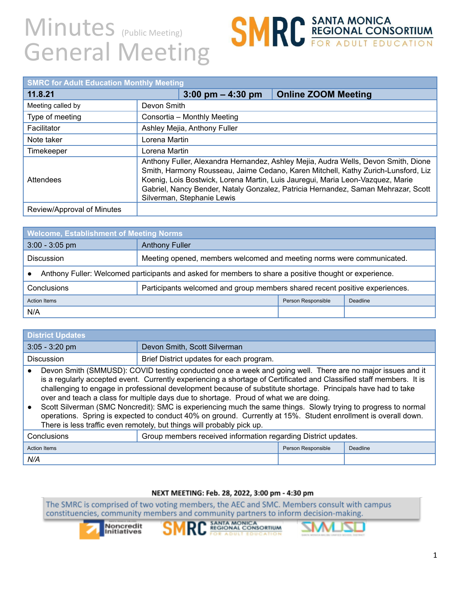## Minutes (Public Meeting) General Meeting

# **SMRC** SANTA MONICA<br>
FOR ADULT EDUCATION

| <b>SMRC for Adult Education Monthly Meeting</b> |                                                                                                                                                                                                                                                                                                                                                                              |                                     |                            |
|-------------------------------------------------|------------------------------------------------------------------------------------------------------------------------------------------------------------------------------------------------------------------------------------------------------------------------------------------------------------------------------------------------------------------------------|-------------------------------------|----------------------------|
| 11.8.21                                         |                                                                                                                                                                                                                                                                                                                                                                              | $3:00 \text{ pm} - 4:30 \text{ pm}$ | <b>Online ZOOM Meeting</b> |
| Meeting called by                               | Devon Smith                                                                                                                                                                                                                                                                                                                                                                  |                                     |                            |
| Type of meeting                                 | Consortia - Monthly Meeting                                                                                                                                                                                                                                                                                                                                                  |                                     |                            |
| Facilitator                                     | Ashley Mejia, Anthony Fuller                                                                                                                                                                                                                                                                                                                                                 |                                     |                            |
| Note taker                                      | Lorena Martin                                                                                                                                                                                                                                                                                                                                                                |                                     |                            |
| Timekeeper                                      | Lorena Martin                                                                                                                                                                                                                                                                                                                                                                |                                     |                            |
| Attendees                                       | Anthony Fuller, Alexandra Hernandez, Ashley Mejia, Audra Wells, Devon Smith, Dione<br>Smith, Harmony Rousseau, Jaime Cedano, Karen Mitchell, Kathy Zurich-Lunsford, Liz<br>Koenig, Lois Bostwick, Lorena Martin, Luis Jauregui, Maria Leon-Vazquez, Marie<br>Gabriel, Nancy Bender, Nataly Gonzalez, Patricia Hernandez, Saman Mehrazar, Scott<br>Silverman, Stephanie Lewis |                                     |                            |
| Review/Approval of Minutes                      |                                                                                                                                                                                                                                                                                                                                                                              |                                     |                            |

| <b>Welcome, Establishment of Meeting Norms</b>                                                         |                                                                             |                    |          |
|--------------------------------------------------------------------------------------------------------|-----------------------------------------------------------------------------|--------------------|----------|
| $3:00 - 3:05$ pm                                                                                       | <b>Anthony Fuller</b>                                                       |                    |          |
| <b>Discussion</b>                                                                                      | Meeting opened, members welcomed and meeting norms were communicated.       |                    |          |
| Anthony Fuller: Welcomed participants and asked for members to share a positive thought or experience. |                                                                             |                    |          |
| Conclusions                                                                                            | Participants welcomed and group members shared recent positive experiences. |                    |          |
| <b>Action Items</b>                                                                                    |                                                                             | Person Responsible | Deadline |
| N/A                                                                                                    |                                                                             |                    |          |

| <b>District Updates</b>                                                                                                                                                                                                                                                                                                                                                                                                                                                                                                                                                                                                                                                                                                                                    |                                                                |                    |          |
|------------------------------------------------------------------------------------------------------------------------------------------------------------------------------------------------------------------------------------------------------------------------------------------------------------------------------------------------------------------------------------------------------------------------------------------------------------------------------------------------------------------------------------------------------------------------------------------------------------------------------------------------------------------------------------------------------------------------------------------------------------|----------------------------------------------------------------|--------------------|----------|
| $3:05 - 3:20$ pm                                                                                                                                                                                                                                                                                                                                                                                                                                                                                                                                                                                                                                                                                                                                           | Devon Smith, Scott Silverman                                   |                    |          |
| <b>Discussion</b>                                                                                                                                                                                                                                                                                                                                                                                                                                                                                                                                                                                                                                                                                                                                          | Brief District updates for each program.                       |                    |          |
| Devon Smith (SMMUSD): COVID testing conducted once a week and going well. There are no major issues and it<br>is a regularly accepted event. Currently experiencing a shortage of Certificated and Classified staff members. It is<br>challenging to engage in professional development because of substitute shortage. Principals have had to take<br>over and teach a class for multiple days due to shortage. Proud of what we are doing.<br>Scott Silverman (SMC Noncredit): SMC is experiencing much the same things. Slowly trying to progress to normal<br>operations. Spring is expected to conduct 40% on ground. Currently at 15%. Student enrollment is overall down.<br>There is less traffic even remotely, but things will probably pick up. |                                                                |                    |          |
| Conclusions                                                                                                                                                                                                                                                                                                                                                                                                                                                                                                                                                                                                                                                                                                                                                | Group members received information regarding District updates. |                    |          |
| <b>Action Items</b>                                                                                                                                                                                                                                                                                                                                                                                                                                                                                                                                                                                                                                                                                                                                        |                                                                | Person Responsible | Deadline |
| N/A                                                                                                                                                                                                                                                                                                                                                                                                                                                                                                                                                                                                                                                                                                                                                        |                                                                |                    |          |

#### NEXT MEETING: Feb. 28, 2022, 3:00 pm - 4:30 pm

The SMRC is comprised of two voting members, the AEC and SMC. Members consult with campus constituencies, community members and community partners to inform decision-making.





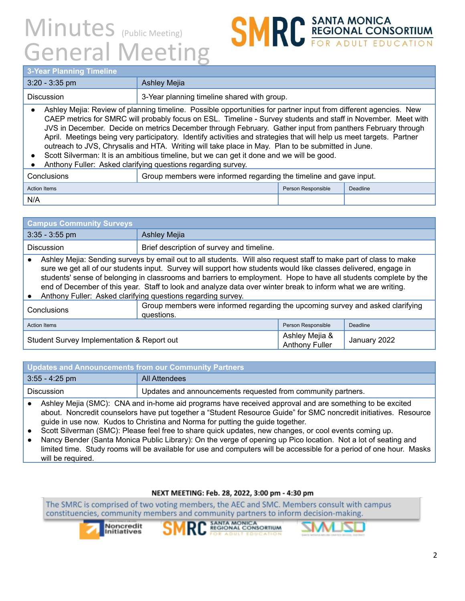## Minutes (Public Meeting) General Meeting

## **SMRC REGIONAL CONSORTIUM**

### **3-Year Planning Timeline**

| <b>S-Tear Planning Timeline</b>                                                                                                                                                                                                                                                                                                                                                                                                                                                                                                                                                                                                                                                                                                          |                                                                    |                    |          |  |
|------------------------------------------------------------------------------------------------------------------------------------------------------------------------------------------------------------------------------------------------------------------------------------------------------------------------------------------------------------------------------------------------------------------------------------------------------------------------------------------------------------------------------------------------------------------------------------------------------------------------------------------------------------------------------------------------------------------------------------------|--------------------------------------------------------------------|--------------------|----------|--|
| $3:20 - 3:35$ pm                                                                                                                                                                                                                                                                                                                                                                                                                                                                                                                                                                                                                                                                                                                         | <b>Ashley Mejia</b>                                                |                    |          |  |
| Discussion                                                                                                                                                                                                                                                                                                                                                                                                                                                                                                                                                                                                                                                                                                                               | 3-Year planning timeline shared with group.                        |                    |          |  |
| Ashley Mejia: Review of planning timeline. Possible opportunities for partner input from different agencies. New<br>CAEP metrics for SMRC will probably focus on ESL. Timeline - Survey students and staff in November. Meet with<br>JVS in December. Decide on metrics December through February. Gather input from panthers February through<br>April. Meetings being very participatory. Identify activities and strategies that will help us meet targets. Partner<br>outreach to JVS, Chrysalis and HTA. Writing will take place in May. Plan to be submitted in June.<br>Scott Silverman: It is an ambitious timeline, but we can get it done and we will be good.<br>Anthony Fuller: Asked clarifying questions regarding survey. |                                                                    |                    |          |  |
| Conclusions                                                                                                                                                                                                                                                                                                                                                                                                                                                                                                                                                                                                                                                                                                                              | Group members were informed regarding the timeline and gave input. |                    |          |  |
| <b>Action Items</b>                                                                                                                                                                                                                                                                                                                                                                                                                                                                                                                                                                                                                                                                                                                      |                                                                    | Person Responsible | Deadline |  |
| N/A                                                                                                                                                                                                                                                                                                                                                                                                                                                                                                                                                                                                                                                                                                                                      |                                                                    |                    |          |  |

| <b>Campus Community Surveys</b>                                                                                                                                                                                                                                                                                                                                                                                                                                                                                                           |                                           |                                         |              |
|-------------------------------------------------------------------------------------------------------------------------------------------------------------------------------------------------------------------------------------------------------------------------------------------------------------------------------------------------------------------------------------------------------------------------------------------------------------------------------------------------------------------------------------------|-------------------------------------------|-----------------------------------------|--------------|
| $3:35 - 3:55$ pm                                                                                                                                                                                                                                                                                                                                                                                                                                                                                                                          | <b>Ashley Mejia</b>                       |                                         |              |
| <b>Discussion</b>                                                                                                                                                                                                                                                                                                                                                                                                                                                                                                                         | Brief description of survey and timeline. |                                         |              |
| Ashley Mejia: Sending surveys by email out to all students. Will also request staff to make part of class to make<br>sure we get all of our students input. Survey will support how students would like classes delivered, engage in<br>students' sense of belonging in classrooms and barriers to employment. Hope to have all students complete by the<br>end of December of this year. Staff to look and analyze data over winter break to inform what we are writing.<br>Anthony Fuller: Asked clarifying questions regarding survey. |                                           |                                         |              |
| Group members were informed regarding the upcoming survey and asked clarifying<br>Conclusions<br>questions.                                                                                                                                                                                                                                                                                                                                                                                                                               |                                           |                                         |              |
| <b>Action Items</b><br>Person Responsible<br>Deadline                                                                                                                                                                                                                                                                                                                                                                                                                                                                                     |                                           |                                         |              |
| Student Survey Implementation & Report out                                                                                                                                                                                                                                                                                                                                                                                                                                                                                                |                                           | Ashley Mejia &<br><b>Anthony Fuller</b> | January 2022 |

| $3:55 - 4:25$ pm                                                                                                    | All Attendees                                                |  |
|---------------------------------------------------------------------------------------------------------------------|--------------------------------------------------------------|--|
| Discussion                                                                                                          | Updates and announcements requested from community partners. |  |
| Addition Matter/OMO). ONIA and to be seen at discovered account of the second and and account the second control of |                                                              |  |

- **●** Ashley Mejia (SMC): CNA and in-home aid programs have received approval and are something to be excited about. Noncredit counselors have put together a "Student Resource Guide" for SMC noncredit initiatives. Resource guide in use now. Kudos to Christina and Norma for putting the guide together.
- Scott Silverman (SMC): Please feel free to share quick updates, new changes, or cool events coming up.
- Nancy Bender (Santa Monica Public Library): On the verge of opening up Pico location. Not a lot of seating and limited time. Study rooms will be available for use and computers will be accessible for a period of one hour. Masks will be required.

### NEXT MEETING: Feb. 28, 2022, 3:00 pm - 4:30 pm

The SMRC is comprised of two voting members, the AEC and SMC. Members consult with campus constituencies, community members and community partners to inform decision-making.